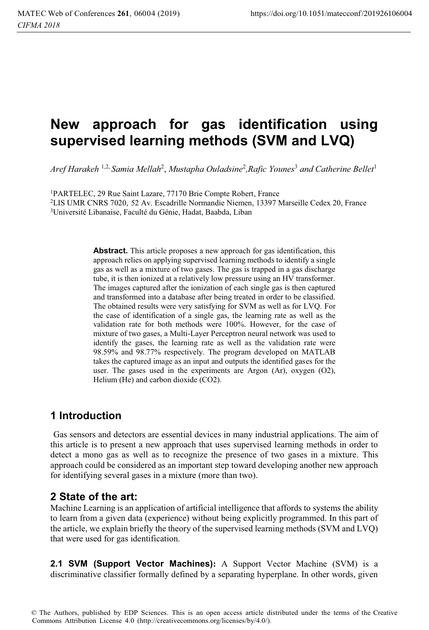# **New approach for gas identification using supervised learning methods (SVM and LVQ)**

*Aref Harakeh* 1,2, *Samia Mellah*<sup>2</sup> , *Mustapha Ouladsine*<sup>2</sup> *,Rafic Younes*<sup>3</sup>  *and Catherine Bellet*<sup>1</sup>

1PARTELEC, 29 Rue Saint Lazare, 77170 Brie Compte Robert, France 2LIS UMR CNRS 7020, 52 Av. Escadrille Normandie Niemen, 13397 Marseille Cedex 20, France 3Université Libanaise, Faculté du Génie, Hadat, Baabda, Liban

> Abstract. This article proposes a new approach for gas identification, this approach relies on applying supervised learning methods to identify a single gas as well as a mixture of two gases. The gas is trapped in a gas discharge tube, it is then ionized at a relatively low pressure using an HV transformer. The images captured after the ionization of each single gas is then captured and transformed into a database after being treated in order to be classified. The obtained results were very satisfying for SVM as well as for LVQ. For the case of identification of a single gas, the learning rate as well as the validation rate for both methods were 100%. However, for the case of mixture of two gases, a Multi-Layer Perceptron neural network was used to identify the gases, the learning rate as well as the validation rate were 98.59% and 98.77% respectively. The program developed on MATLAB takes the captured image as an input and outputs the identified gases for the user. The gases used in the experiments are Argon (Ar), oxygen (O2), Helium (He) and carbon dioxide (CO2).

## **1 Introduction**

Gas sensors and detectors are essential devices in many industrial applications. The aim of this article is to present a new approach that uses supervised learning methods in order to detect a mono gas as well as to recognize the presence of two gases in a mixture. This approach could be considered as an important step toward developing another new approach for identifying several gases in a mixture (more than two).

## **2 State of the art:**

Machine Learning is an application of artificial intelligence that affords to systems the ability to learn from a given data (experience) without being explicitly programmed. In this part of the article, we explain briefly the theory of the supervised learning methods (SVM and LVQ) that were used for gas identification.

**2.1 SVM (Support Vector Machines):** A Support Vector Machine (SVM) is a discriminative classifier formally defined by a separating hyperplane. In other words, given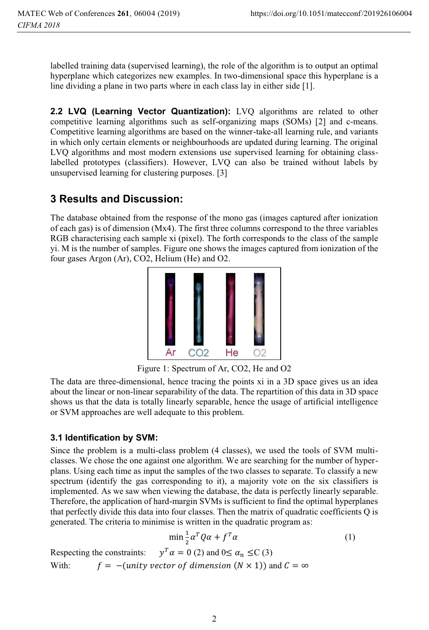labelled training data (supervised learning), the role of the algorithm is to output an optimal hyperplane which categorizes new examples. In two-dimensional space this hyperplane is a line dividing a plane in two parts where in each class lay in either side [1].

**2.2 LVQ (Learning Vector Quantization):** LVQ algorithms are related to other competitive learning algorithms such as self-organizing maps (SOMs) [2] and c-means. Competitive learning algorithms are based on the winner-take-all learning rule, and variants in which only certain elements or neighbourhoods are updated during learning. The original LVQ algorithms and most modern extensions use supervised learning for obtaining classlabelled prototypes (classifiers). However, LVQ can also be trained without labels by unsupervised learning for clustering purposes. [3]

# **3 Results and Discussion:**

The database obtained from the response of the mono gas (images captured after ionization of each gas) is of dimension (Mx4). The first three columns correspond to the three variables RGB characterising each sample xi (pixel). The forth corresponds to the class of the sample yi. M is the number of samples. Figure one shows the images captured from ionization of the four gases Argon (Ar), CO2, Helium (He) and O2.



Figure 1: Spectrum of Ar, CO2, He and O2

The data are three-dimensional, hence tracing the points xi in a 3D space gives us an idea about the linear or non-linear separability of the data. The repartition of this data in 3D space shows us that the data is totally linearly separable, hence the usage of artificial intelligence or SVM approaches are well adequate to this problem.

#### **3.1 Identification by SVM:**

Since the problem is a multi-class problem (4 classes), we used the tools of SVM multiclasses. We chose the one against one algorithm. We are searching for the number of hyperplans. Using each time as input the samples of the two classes to separate. To classify a new spectrum (identify the gas corresponding to it), a majority vote on the six classifiers is implemented. As we saw when viewing the database, the data is perfectly linearly separable. Therefore, the application of hard-margin SVMs is sufficient to find the optimal hyperplanes that perfectly divide this data into four classes. Then the matrix of quadratic coefficients Q is generated. The criteria to minimise is written in the quadratic program as:

$$
\min \frac{1}{2} \alpha^T Q \alpha + f^T \alpha \tag{1}
$$

Respecting the constraints:  $y^T \alpha = 0$  (2) and  $0 \le \alpha_n \le C$  (3) With:  $f = -(unity vector of dimension (N \times 1))$  and  $C = \infty$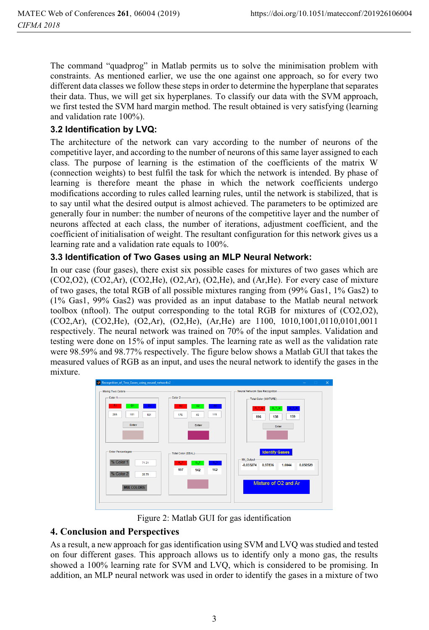The command "quadprog" in Matlab permits us to solve the minimisation problem with constraints. As mentioned earlier, we use the one against one approach, so for every two different data classes we follow these steps in order to determine the hyperplane that separates their data. Thus, we will get six hyperplanes. To classify our data with the SVM approach, we first tested the SVM hard margin method. The result obtained is very satisfying (learning and validation rate 100%).

#### **3.2 Identification by LVQ:**

The architecture of the network can vary according to the number of neurons of the competitive layer, and according to the number of neurons of this same layer assigned to each class. The purpose of learning is the estimation of the coefficients of the matrix W (connection weights) to best fulfil the task for which the network is intended. By phase of learning is therefore meant the phase in which the network coefficients undergo modifications according to rules called learning rules, until the network is stabilized, that is to say until what the desired output is almost achieved. The parameters to be optimized are generally four in number: the number of neurons of the competitive layer and the number of neurons affected at each class, the number of iterations, adjustment coefficient, and the coefficient of initialisation of weight. The resultant configuration for this network gives us a learning rate and a validation rate equals to 100%.

#### **3.3 Identification of Two Gases using an MLP Neural Network:**

In our case (four gases), there exist six possible cases for mixtures of two gases which are  $(CO2,O2)$ ,  $(CO2,Ar)$ ,  $(CO2,He)$ ,  $(O2,Ar)$ ,  $(O2,He)$ , and  $(Ar,He)$ . For every case of mixture of two gases, the total RGB of all possible mixtures ranging from (99% Gas1, 1% Gas2) to (1% Gas1, 99% Gas2) was provided as an input database to the Matlab neural network toolbox (nftool). The output corresponding to the total RGB for mixtures of (CO2,O2), (CO2,Ar), (CO2,He), (O2,Ar), (O2,He), (Ar,He) are 1100, 1010,1001,0110,0101,0011 respectively. The neural network was trained on 70% of the input samples. Validation and testing were done on 15% of input samples. The learning rate as well as the validation rate were 98.59% and 98.77% respectively. The figure below shows a Matlab GUI that takes the measured values of RGB as an input, and uses the neural network to identify the gases in the mixture.



Figure 2: Matlab GUI for gas identification

#### **4. Conclusion and Perspectives**

As a result, a new approach for gas identification using SVM and LVQ was studied and tested on four different gases. This approach allows us to identify only a mono gas, the results showed a 100% learning rate for SVM and LVQ, which is considered to be promising. In addition, an MLP neural network was used in order to identify the gases in a mixture of two